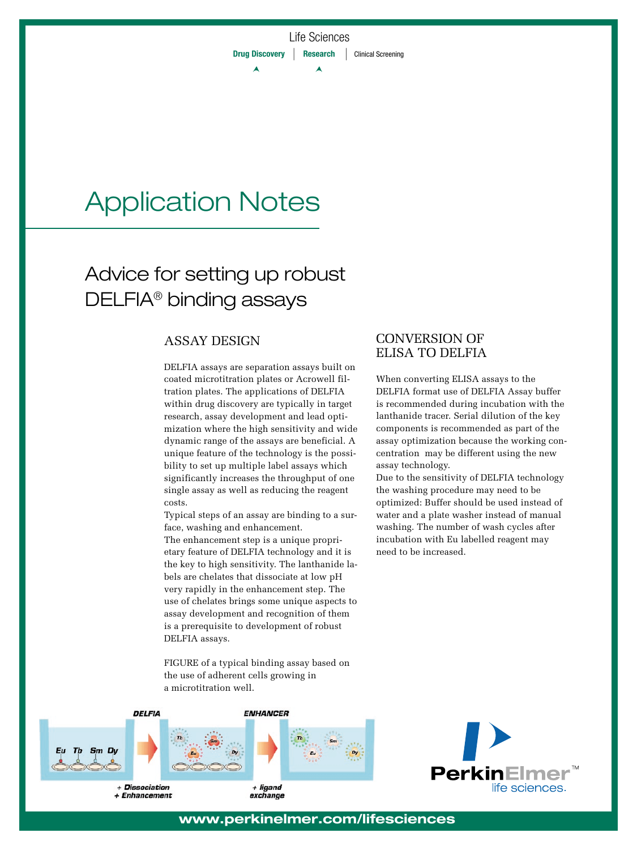## Application Notes

### Advice for setting up robust DELFIA® binding assays

#### ASSAY DESIGN

DELFIA assays are separation assays built on coated microtitration plates or Acrowell filtration plates. The applications of DELFIA within drug discovery are typically in target research, assay development and lead optimization where the high sensitivity and wide dynamic range of the assays are beneficial. A unique feature of the technology is the possibility to set up multiple label assays which significantly increases the throughput of one single assay as well as reducing the reagent costs.

Typical steps of an assay are binding to a surface, washing and enhancement.

The enhancement step is a unique proprietary feature of DELFIA technology and it is the key to high sensitivity. The lanthanide labels are chelates that dissociate at low pH very rapidly in the enhancement step. The use of chelates brings some unique aspects to assay development and recognition of them is a prerequisite to development of robust DELFIA assays.

FIGURE of a typical binding assay based on the use of adherent cells growing in a microtitration well.



# **Perkir** life sciences.

#### CONVERSION OF ELISA TO DELFIA

When converting ELISA assays to the DELFIA format use of DELFIA Assay buffer is recommended during incubation with the lanthanide tracer. Serial dilution of the key components is recommended as part of the assay optimization because the working concentration may be different using the new assay technology.

Due to the sensitivity of DELFIA technology the washing procedure may need to be optimized: Buffer should be used instead of water and a plate washer instead of manual washing. The number of wash cycles after incubation with Eu labelled reagent may need to be increased.

#### **www.perkinelmer.com/lifesciences**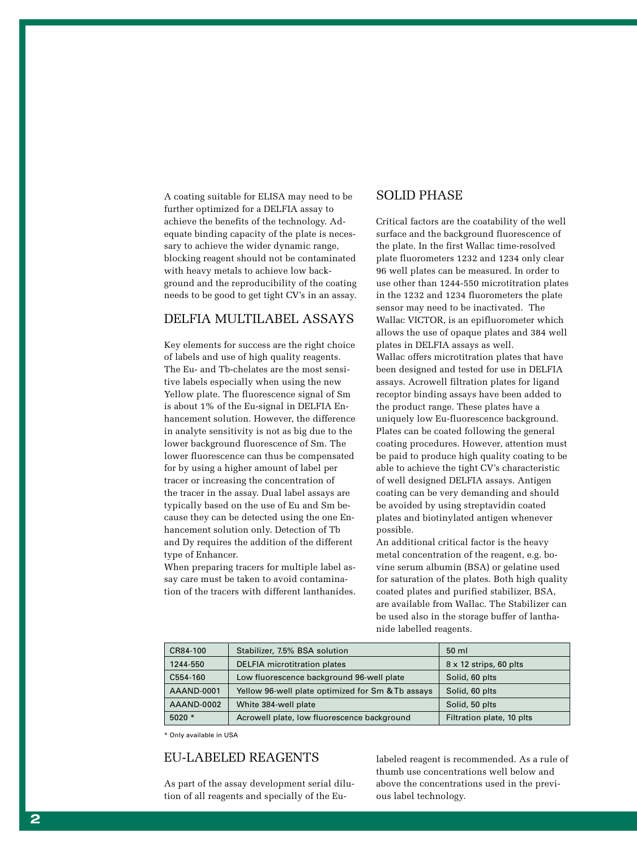A coating suitable for ELISA may need to be further optimized for a DELFIA assay to achieve the benefits of the technology. Adequate binding capacity of the plate is necessary to achieve the wider dynamic range, blocking reagent should not be contaminated with heavy metals to achieve low background and the reproducibility of the coating needs to be good to get tight CV's in an assay.

#### DELFIA MULTILABEL ASSAYS

Key elements for success are the right choice of labels and use of high quality reagents. The Eu- and Tb-chelates are the most sensitive labels especially when using the new Yellow plate. The fluorescence signal of Sm is about 1% of the Eu-signal in DELFIA Enhancement solution. However, the difference in analyte sensitivity is not as big due to the lower background fluorescence of Sm. The lower fluorescence can thus be compensated for by using a higher amount of label per tracer or increasing the concentration of the tracer in the assay. Dual label assays are typically based on the use of Eu and Sm because they can be detected using the one Enhancement solution only. Detection of Tb and Dy requires the addition of the different type of Enhancer.

When preparing tracers for multiple label assay care must be taken to avoid contamination of the tracers with different lanthanides.

#### SOLID PHASE

Critical factors are the coatability of the well surface and the background fluorescence of the plate. In the first Wallac time-resolved plate fluorometers 1232 and 1234 only clear 96 well plates can be measured. In order to use other than 1244-550 microtitration plates in the 1232 and 1234 fluorometers the plate sensor may need to be inactivated. The Wallac VICTOR, is an epifluorometer which allows the use of opaque plates and 384 well plates in DELFIA assays as well. Wallac offers microtitration plates that have been designed and tested for use in DELFIA assays. Acrowell filtration plates for ligand receptor binding assays have been added to the product range. These plates have a uniquely low Eu-fluorescence background. Plates can be coated following the general coating procedures. However, attention must be paid to produce high quality coating to be able to achieve the tight CV's characteristic of well designed DELFIA assays. Antigen coating can be very demanding and should be avoided by using streptavidin coated plates and biotinylated antigen whenever possible.

An additional critical factor is the heavy metal concentration of the reagent, e.g. bovine serum albumin (BSA) or gelatine used for saturation of the plates. Both high quality coated plates and purified stabilizer, BSA, are available from Wallac. The Stabilizer can be used also in the storage buffer of lanthanide labelled reagents.

| CR84-100   | Stabilizer, 7.5% BSA solution                     | $50 \mathrm{m}$               |
|------------|---------------------------------------------------|-------------------------------|
| 1244-550   | <b>DELFIA</b> microtitration plates               | $8 \times 12$ strips, 60 plts |
| C554-160   | Low fluorescence background 96-well plate         | Solid, 60 plts                |
| AAAND-0001 | Yellow 96-well plate optimized for Sm & Tb assays | Solid, 60 plts                |
| AAAND-0002 | White 384-well plate                              | Solid, 50 plts                |
| $5020*$    | Acrowell plate, low fluorescence background       | Filtration plate, 10 plts     |

\* Only available in USA

#### EU-LABELED REAGENTS

As part of the assay development serial dilution of all reagents and specially of the Eulabeled reagent is recommended. As a rule of thumb use concentrations well below and above the concentrations used in the previous label technology.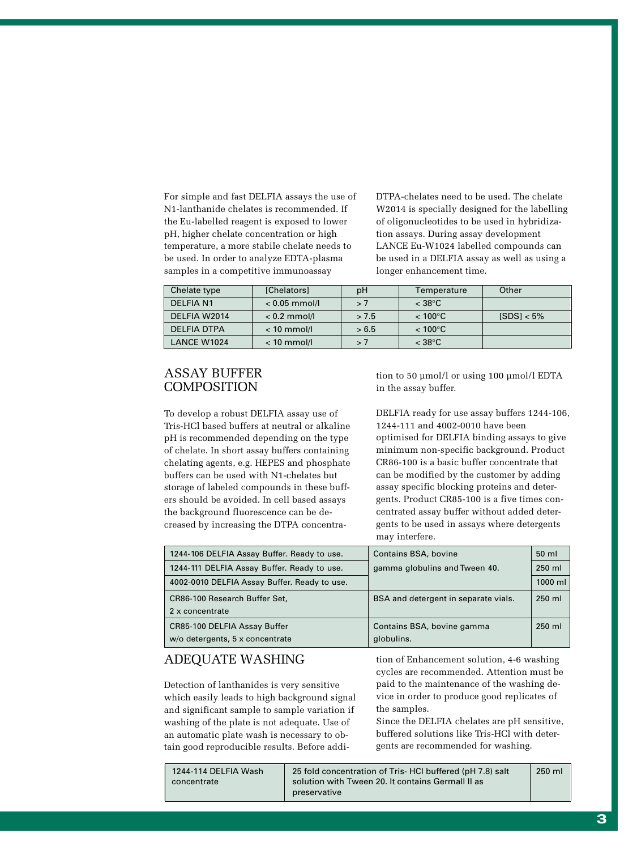For simple and fast DELFIA assays the use of N1-lanthanide chelates is recommended. If the Eu-labelled reagent is exposed to lower pH, higher chelate concentration or high temperature, a more stabile chelate needs to be used. In order to analyze EDTA-plasma samples in a competitive immunoassay

DTPA-chelates need to be used. The chelate W2014 is specially designed for the labelling of oligonucleotides to be used in hybridization assays. During assay development LANCE Eu-W1024 labelled compounds can be used in a DELFIA assay as well as using a longer enhancement time.

| Chelate type    | <b>[Chelators]</b> | pH    | Temperature         | Other         |
|-----------------|--------------------|-------|---------------------|---------------|
| <b>DELFIAN1</b> | $< 0.05$ mmol/l    | >7    | $<$ 38 $^{\circ}$ C |               |
| DELFIA W2014    | $< 0.2$ mmol/l     | > 7.5 | $< 100^{\circ}$ C   | $ SDS  < 5\%$ |
| DELFIA DTPA     | $< 10$ mmol/l      | > 6.5 | $< 100^{\circ}$ C   |               |
| LANCE W1024     | $< 10$ mmol/l      | >7    | $<$ 38 $^{\circ}$ C |               |

#### ASSAY BUFFER **COMPOSITION**

To develop a robust DELFIA assay use of Tris-HCl based buffers at neutral or alkaline pH is recommended depending on the type of chelate. In short assay buffers containing chelating agents, e.g. HEPES and phosphate buffers can be used with N1-chelates but storage of labeled compounds in these buffers should be avoided. In cell based assays the background fluorescence can be decreased by increasing the DTPA concentration to 50 µmol/l or using 100 µmol/l EDTA in the assay buffer.

DELFIA ready for use assay buffers 1244-106, 1244-111 and 4002-0010 have been optimised for DELFIA binding assays to give minimum non-specific background. Product CR86-100 is a basic buffer concentrate that can be modified by the customer by adding assay specific blocking proteins and detergents. Product CR85-100 is a five times concentrated assay buffer without added detergents to be used in assays where detergents may interfere.

| 1244-106 DELFIA Assay Buffer. Ready to use.  | Contains BSA, bovine                 | 50 ml    |
|----------------------------------------------|--------------------------------------|----------|
| 1244-111 DELFIA Assay Buffer. Ready to use.  | gamma globulins and Tween 40.        | 250 ml   |
| 4002-0010 DELFIA Assay Buffer. Ready to use. |                                      | 1000 ml  |
| CR86-100 Research Buffer Set,                | BSA and detergent in separate vials. | $250$ ml |
| 2 x concentrate                              |                                      |          |
| CR85-100 DELFIA Assay Buffer                 | Contains BSA, bovine gamma           | 250 ml   |
| w/o detergents, 5 x concentrate              | globulins.                           |          |

#### ADEQUATE WASHING

Detection of lanthanides is very sensitive which easily leads to high background signal and significant sample to sample variation if washing of the plate is not adequate. Use of an automatic plate wash is necessary to obtain good reproducible results. Before addition of Enhancement solution, 4-6 washing cycles are recommended. Attention must be paid to the maintenance of the washing device in order to produce good replicates of the samples.

Since the DELFIA chelates are pH sensitive, buffered solutions like Tris-HCl with detergents are recommended for washing.

| 1244-114 DELFIA Wash | 25 fold concentration of Tris-HCI buffered (pH 7.8) salt | 250 ml |
|----------------------|----------------------------------------------------------|--------|
| concentrate          | solution with Tween 20. It contains Germall II as        |        |
|                      | preservative                                             |        |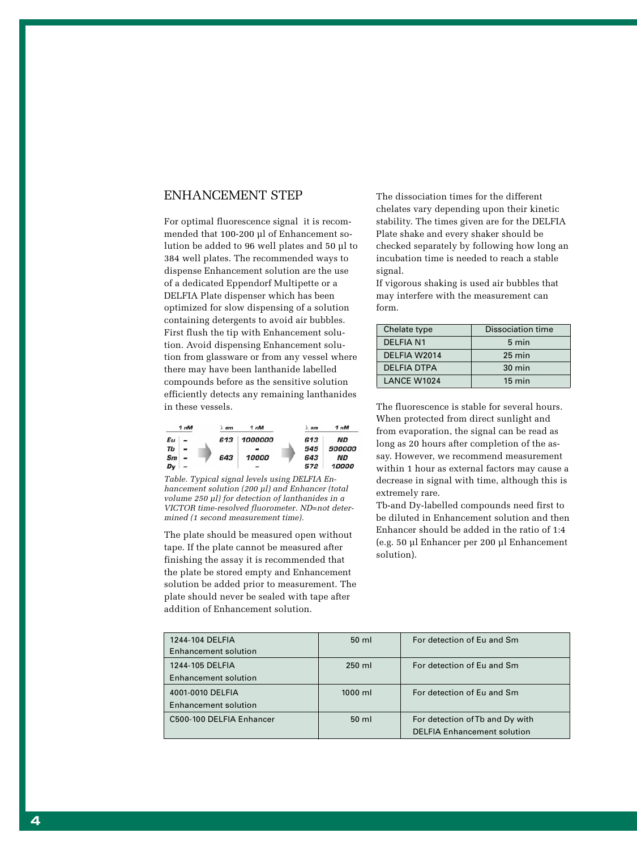#### ENHANCEMENT STEP

For optimal fluorescence signal it is recommended that 100-200 µl of Enhancement solution be added to 96 well plates and 50 µl to 384 well plates. The recommended ways to dispense Enhancement solution are the use of a dedicated Eppendorf Multipette or a DELFIA Plate dispenser which has been optimized for slow dispensing of a solution containing detergents to avoid air bubbles. First flush the tip with Enhancement solution. Avoid dispensing Enhancement solution from glassware or from any vessel where there may have been lanthanide labelled compounds before as the sensitive solution efficiently detects any remaining lanthanides in these vessels.

|    | 1 <sub>nM</sub> | $\lambda$ em | 1 <sub>nM</sub> | $\triangle$ em | 1 <sub>nM</sub> |
|----|-----------------|--------------|-----------------|----------------|-----------------|
| Εu |                 | 613          | 1000000         | 613            | ND              |
| Тb |                 |              |                 | 545            | 500000          |
| Sm |                 | 643          | 10000           | 643            | ND              |
| Dv |                 |              |                 | 572            | 10000           |

*Table. Typical signal levels using DELFIA Enhancement solution (200 µl) and Enhancer (total volume 250 µl) for detection of lanthanides in a VICTOR time-resolved fluorometer. ND=not determined (1 second measurement time).*

The plate should be measured open without tape. If the plate cannot be measured after finishing the assay it is recommended that the plate be stored empty and Enhancement solution be added prior to measurement. The plate should never be sealed with tape after addition of Enhancement solution.

The dissociation times for the different chelates vary depending upon their kinetic stability. The times given are for the DELFIA Plate shake and every shaker should be checked separately by following how long an incubation time is needed to reach a stable signal.

If vigorous shaking is used air bubbles that may interfere with the measurement can form.

| Chelate type       | <b>Dissociation time</b> |
|--------------------|--------------------------|
| <b>DELFIA N1</b>   | 5 min                    |
| DELFIA W2014       | $25 \text{ min}$         |
| <b>DELFIA DTPA</b> | $30 \text{ min}$         |
| <b>LANCE W1024</b> | $15 \text{ min}$         |

The fluorescence is stable for several hours. When protected from direct sunlight and from evaporation, the signal can be read as long as 20 hours after completion of the assay. However, we recommend measurement within 1 hour as external factors may cause a decrease in signal with time, although this is extremely rare.

Tb-and Dy-labelled compounds need first to be diluted in Enhancement solution and then Enhancer should be added in the ratio of 1:4 (e.g. 50 µl Enhancer per 200 µl Enhancement solution).

| 1244-104 DELFIA<br><b>Enhancement solution</b>  | $50 \mathrm{ml}$ | For detection of Eu and Sm                                            |
|-------------------------------------------------|------------------|-----------------------------------------------------------------------|
| 1244-105 DELFIA<br><b>Enhancement solution</b>  | $250$ ml         | For detection of Eu and Sm                                            |
| 4001-0010 DELFIA<br><b>Enhancement solution</b> | $1000$ ml        | For detection of Eu and Sm                                            |
| C500-100 DELFIA Enhancer                        | $50 \mathrm{ml}$ | For detection of Tb and Dy with<br><b>DELFIA Enhancement solution</b> |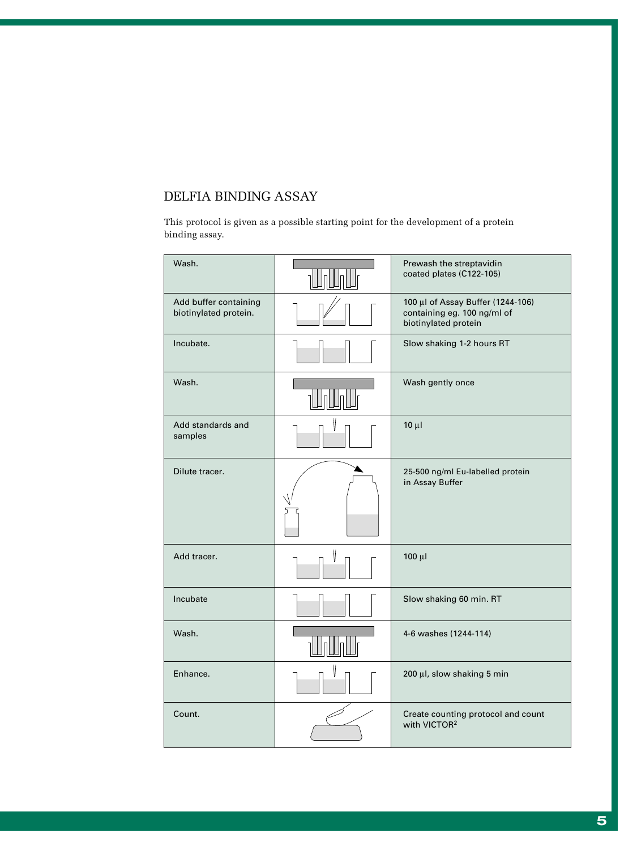#### DELFIA BINDING ASSAY

This protocol is given as a possible starting point for the development of a protein binding assay.

| Wash.                                          | Prewash the streptavidin<br>coated plates (C122-105)                                     |
|------------------------------------------------|------------------------------------------------------------------------------------------|
| Add buffer containing<br>biotinylated protein. | 100 μl of Assay Buffer (1244-106)<br>containing eg. 100 ng/ml of<br>biotinylated protein |
| Incubate.                                      | Slow shaking 1-2 hours RT                                                                |
| Wash.                                          | Wash gently once                                                                         |
| Add standards and<br>samples                   | $10 \mu$                                                                                 |
| Dilute tracer.                                 | 25-500 ng/ml Eu-labelled protein<br>in Assay Buffer                                      |
| Add tracer.                                    | $100 \mu l$                                                                              |
| Incubate                                       | Slow shaking 60 min. RT                                                                  |
| Wash.                                          | 4-6 washes (1244-114)                                                                    |
| Enhance.                                       | 200 µl, slow shaking 5 min                                                               |
| Count.                                         | Create counting protocol and count<br>with VICTOR <sup>2</sup>                           |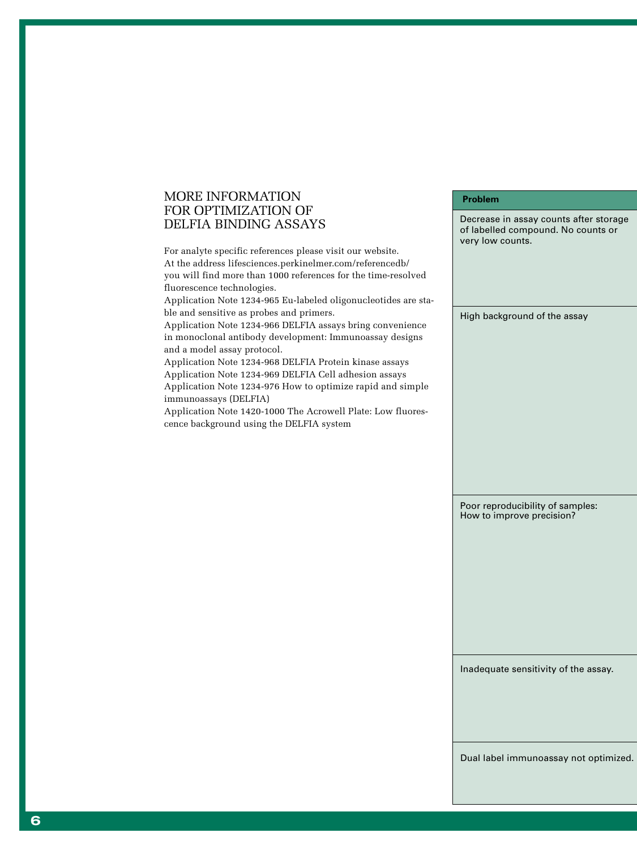#### MORE INFORMATION FOR OPTIMIZATION OF DELFIA BINDING ASSAYS

For analyte specific references please visit our website. At the address lifesciences.perkinelmer.com/referencedb/ you will find more than 1000 references for the time-resolved fluorescence technologies. Application Note 1234-965 Eu-labeled oligonucleotides are stable and sensitive as probes and primers. Application Note 1234-966 DELFIA assays bring convenience in monoclonal antibody development: Immunoassay designs and a model assay protocol. Application Note 1234-968 DELFIA Protein kinase assays Application Note 1234-969 DELFIA Cell adhesion assays Application Note 1234-976 How to optimize rapid and simple immunoassays (DELFIA) Application Note 1420-1000 The Acrowell Plate: Low fluorescence background using the DELFIA system very low counts. High background of the assay

> Poor reproducibility of samples: How to improve precision?

Decrease in assay counts after storage of labelled compound. No counts or

**Problem**

Inadequate sensitivity of the assay.

Dual label immunoassay not optimized.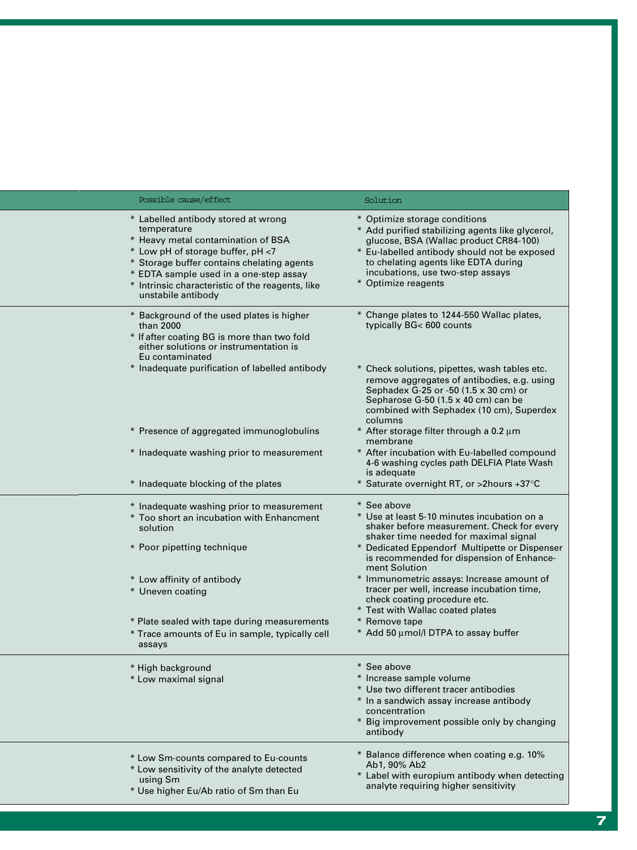| Possible cause/effect                                                                                                                                                                                                                                                                           | Solution                                                                                                                                                                                                                                                                       |
|-------------------------------------------------------------------------------------------------------------------------------------------------------------------------------------------------------------------------------------------------------------------------------------------------|--------------------------------------------------------------------------------------------------------------------------------------------------------------------------------------------------------------------------------------------------------------------------------|
| * Labelled antibody stored at wrong<br>temperature<br>* Heavy metal contamination of BSA<br>* Low pH of storage buffer, pH <7<br>* Storage buffer contains chelating agents<br>* EDTA sample used in a one-step assay<br>* Intrinsic characteristic of the reagents, like<br>unstabile antibody | * Optimize storage conditions<br>* Add purified stabilizing agents like glycerol,<br>glucose, BSA (Wallac product CR84-100)<br>* Eu-labelled antibody should not be exposed<br>to chelating agents like EDTA during<br>incubations, use two-step assays<br>* Optimize reagents |
| * Background of the used plates is higher<br>than 2000<br>* If after coating BG is more than two fold<br>either solutions or instrumentation is<br>Eu contaminated                                                                                                                              | * Change plates to 1244-550 Wallac plates,<br>typically BG< 600 counts                                                                                                                                                                                                         |
| * Inadequate purification of labelled antibody                                                                                                                                                                                                                                                  | * Check solutions, pipettes, wash tables etc.<br>remove aggregates of antibodies, e.g. using<br>Sephadex G-25 or -50 (1.5 x 30 cm) or<br>Sepharose G-50 (1.5 x 40 cm) can be<br>combined with Sephadex (10 cm), Superdex<br>columns                                            |
| * Presence of aggregated immunoglobulins                                                                                                                                                                                                                                                        | * After storage filter through a 0.2 µm<br>membrane                                                                                                                                                                                                                            |
| * Inadequate washing prior to measurement                                                                                                                                                                                                                                                       | * After incubation with Eu-labelled compound<br>4-6 washing cycles path DELFIA Plate Wash<br>is adequate                                                                                                                                                                       |
| * Inadequate blocking of the plates                                                                                                                                                                                                                                                             | * Saturate overnight RT, or >2hours +37°C                                                                                                                                                                                                                                      |
| * Inadequate washing prior to measurement<br>* Too short an incubation with Enhancment<br>solution                                                                                                                                                                                              | * See above<br>* Use at least 5-10 minutes incubation on a<br>shaker before measurement. Check for every<br>shaker time needed for maximal signal                                                                                                                              |
| * Poor pipetting technique                                                                                                                                                                                                                                                                      | * Dedicated Eppendorf Multipette or Dispenser<br>is recommended for dispension of Enhance-<br>ment Solution                                                                                                                                                                    |
| * Low affinity of antibody<br>* Uneven coating                                                                                                                                                                                                                                                  | * Immunometric assays: Increase amount of<br>tracer per well, increase incubation time,<br>check coating procedure etc.<br>* Test with Wallac coated plates                                                                                                                    |
| * Plate sealed with tape during measurements<br>* Trace amounts of Eu in sample, typically cell<br>assays                                                                                                                                                                                       | * Remove tape<br>* Add 50 µmol/l DTPA to assay buffer                                                                                                                                                                                                                          |
| * High background<br>* Low maximal signal                                                                                                                                                                                                                                                       | * See above<br>* Increase sample volume<br>* Use two different tracer antibodies<br>* In a sandwich assay increase antibody<br>concentration<br>* Big improvement possible only by changing<br>antibody                                                                        |
| * Low Sm-counts compared to Eu-counts<br>* Low sensitivity of the analyte detected<br>using Sm<br>* Use higher Eu/Ab ratio of Sm than Eu                                                                                                                                                        | * Balance difference when coating e.g. 10%<br>Ab1, 90% Ab2<br>* Label with europium antibody when detecting<br>analyte requiring higher sensitivity                                                                                                                            |

www.com/source/www.com/source/www.com/source/www.com/source/www.com/source/www.com/source/www.com/source/www.com/